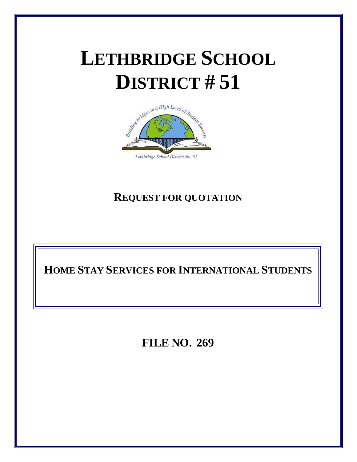# **LETHBRIDGE SCHOOL DISTRICT # 51**



# **REQUEST FOR QUOTATION**

**HOME STAY SERVICES FOR INTERNATIONAL STUDENTS**

**FILE NO. 269**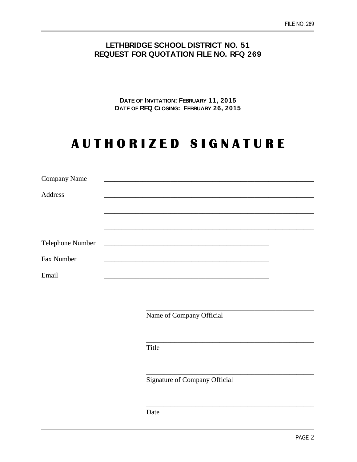## **LETHBRIDGE SCHOOL DISTRICT NO. 51 REQUEST FOR QUOTATION FILE NO. RFQ 269**

**DATE OF INVITATION: FEBRUARY 11, 2015 DATE OF RFQ CLOSING: FEBRUARY 26, 2015**

# **A U T H O R I Z E D S I G N A T U R E**

| <b>Company Name</b> |  |
|---------------------|--|
| Address             |  |
|                     |  |
|                     |  |
|                     |  |
|                     |  |
| Fax Number          |  |
| Email               |  |

Name of Company Official

\_\_\_\_\_\_\_\_\_\_\_\_\_\_\_\_\_\_\_\_\_\_\_\_\_\_\_\_\_\_\_\_\_\_\_\_\_\_\_\_\_\_\_\_\_\_\_\_

\_\_\_\_\_\_\_\_\_\_\_\_\_\_\_\_\_\_\_\_\_\_\_\_\_\_\_\_\_\_\_\_\_\_\_\_\_\_\_\_\_\_\_\_\_\_\_\_

\_\_\_\_\_\_\_\_\_\_\_\_\_\_\_\_\_\_\_\_\_\_\_\_\_\_\_\_\_\_\_\_\_\_\_\_\_\_\_\_\_\_\_\_\_\_\_\_

\_\_\_\_\_\_\_\_\_\_\_\_\_\_\_\_\_\_\_\_\_\_\_\_\_\_\_\_\_\_\_\_\_\_\_\_\_\_\_\_\_\_\_\_\_\_\_\_

Title

Signature of Company Official

Date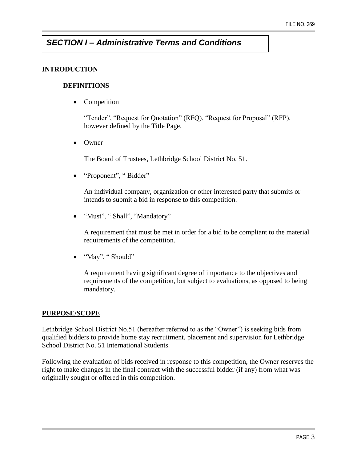# *SECTION I – Administrative Terms and Conditions*

#### **INTRODUCTION**

#### **DEFINITIONS**

• Competition

"Tender", "Request for Quotation" (RFQ), "Request for Proposal" (RFP), however defined by the Title Page.

• Owner

The Board of Trustees, Lethbridge School District No. 51.

• "Proponent", "Bidder"

An individual company, organization or other interested party that submits or intends to submit a bid in response to this competition.

"Must", " Shall", "Mandatory"

A requirement that must be met in order for a bid to be compliant to the material requirements of the competition.

• "May", " Should"

A requirement having significant degree of importance to the objectives and requirements of the competition, but subject to evaluations, as opposed to being mandatory.

#### **PURPOSE/SCOPE**

Lethbridge School District No.51 (hereafter referred to as the "Owner") is seeking bids from qualified bidders to provide home stay recruitment, placement and supervision for Lethbridge School District No. 51 International Students.

Following the evaluation of bids received in response to this competition, the Owner reserves the right to make changes in the final contract with the successful bidder (if any) from what was originally sought or offered in this competition.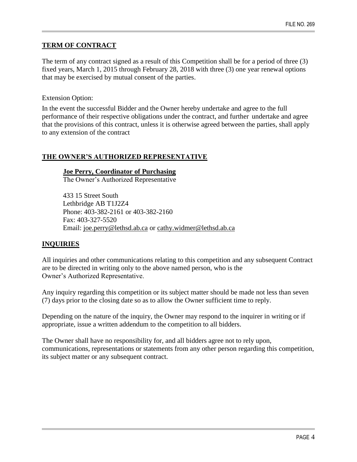#### **TERM OF CONTRACT**

The term of any contract signed as a result of this Competition shall be for a period of three (3) fixed years, March 1, 2015 through February 28, 2018 with three (3) one year renewal options that may be exercised by mutual consent of the parties.

#### Extension Option:

In the event the successful Bidder and the Owner hereby undertake and agree to the full performance of their respective obligations under the contract, and further undertake and agree that the provisions of this contract, unless it is otherwise agreed between the parties, shall apply to any extension of the contract

#### **THE OWNER'S AUTHORIZED REPRESENTATIVE**

#### **Joe Perry, Coordinator of Purchasing**

The Owner's Authorized Representative

433 15 Street South Lethbridge AB T1J2Z4 Phone: 403-382-2161 or 403-382-2160 Fax: 403-327-5520 Email: [joe.perry@lethsd.ab.ca](mailto:joe.perry@lethsd.ab.ca) or [cathy.widmer@lethsd.ab.ca](mailto:cathy.widmer@lethsd.ab.ca)

#### **INQUIRIES**

All inquiries and other communications relating to this competition and any subsequent Contract are to be directed in writing only to the above named person, who is the Owner's Authorized Representative.

Any inquiry regarding this competition or its subject matter should be made not less than seven (7) days prior to the closing date so as to allow the Owner sufficient time to reply.

Depending on the nature of the inquiry, the Owner may respond to the inquirer in writing or if appropriate, issue a written addendum to the competition to all bidders.

The Owner shall have no responsibility for, and all bidders agree not to rely upon, communications, representations or statements from any other person regarding this competition, its subject matter or any subsequent contract.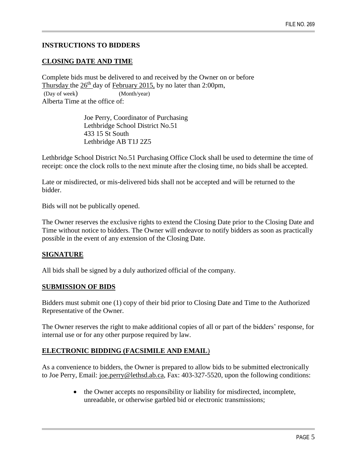#### **INSTRUCTIONS TO BIDDERS**

#### **CLOSING DATE AND TIME**

Complete bids must be delivered to and received by the Owner on or before Thursday the  $26<sup>th</sup>$  day of February 2015, by no later than 2:00pm, (Day of week) (Month/year) Alberta Time at the office of:

> Joe Perry, Coordinator of Purchasing Lethbridge School District No.51 433 15 St South Lethbridge AB T1J 2Z5

Lethbridge School District No.51 Purchasing Office Clock shall be used to determine the time of receipt: once the clock rolls to the next minute after the closing time, no bids shall be accepted.

Late or misdirected, or mis-delivered bids shall not be accepted and will be returned to the bidder.

Bids will not be publically opened.

The Owner reserves the exclusive rights to extend the Closing Date prior to the Closing Date and Time without notice to bidders. The Owner will endeavor to notify bidders as soon as practically possible in the event of any extension of the Closing Date.

#### **SIGNATURE**

All bids shall be signed by a duly authorized official of the company.

#### **SUBMISSION OF BIDS**

Bidders must submit one (1) copy of their bid prior to Closing Date and Time to the Authorized Representative of the Owner.

The Owner reserves the right to make additional copies of all or part of the bidders' response, for internal use or for any other purpose required by law.

#### **ELECTRONIC BIDDING (FACSIMILE AND EMAIL**)

As a convenience to bidders, the Owner is prepared to allow bids to be submitted electronically to Joe Perry, Email: [joe.perry@lethsd.ab.ca,](mailto:joe.perry@lethsd.ab.ca) Fax: 403-327-5520, upon the following conditions:

> • the Owner accepts no responsibility or liability for misdirected, incomplete, unreadable, or otherwise garbled bid or electronic transmissions;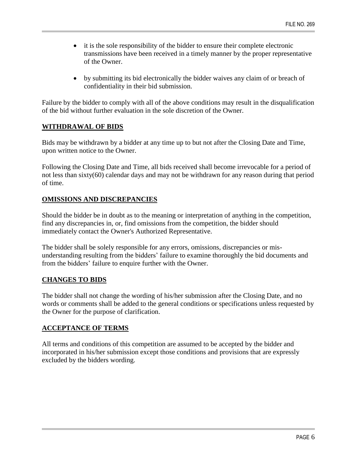- it is the sole responsibility of the bidder to ensure their complete electronic transmissions have been received in a timely manner by the proper representative of the Owner.
- by submitting its bid electronically the bidder waives any claim of or breach of confidentiality in their bid submission.

Failure by the bidder to comply with all of the above conditions may result in the disqualification of the bid without further evaluation in the sole discretion of the Owner.

#### **WITHDRAWAL OF BIDS**

Bids may be withdrawn by a bidder at any time up to but not after the Closing Date and Time, upon written notice to the Owner.

Following the Closing Date and Time, all bids received shall become irrevocable for a period of not less than sixty(60) calendar days and may not be withdrawn for any reason during that period of time.

#### **OMISSIONS AND DISCREPANCIES**

Should the bidder be in doubt as to the meaning or interpretation of anything in the competition, find any discrepancies in, or, find omissions from the competition, the bidder should immediately contact the Owner's Authorized Representative.

The bidder shall be solely responsible for any errors, omissions, discrepancies or misunderstanding resulting from the bidders' failure to examine thoroughly the bid documents and from the bidders' failure to enquire further with the Owner.

#### **CHANGES TO BIDS**

The bidder shall not change the wording of his/her submission after the Closing Date, and no words or comments shall be added to the general conditions or specifications unless requested by the Owner for the purpose of clarification.

#### **ACCEPTANCE OF TERMS**

All terms and conditions of this competition are assumed to be accepted by the bidder and incorporated in his/her submission except those conditions and provisions that are expressly excluded by the bidders wording.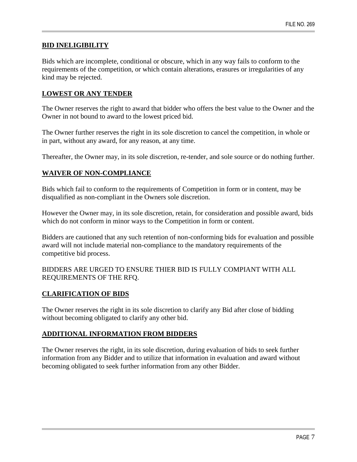#### **BID INELIGIBILITY**

Bids which are incomplete, conditional or obscure, which in any way fails to conform to the requirements of the competition, or which contain alterations, erasures or irregularities of any kind may be rejected.

#### **LOWEST OR ANY TENDER**

The Owner reserves the right to award that bidder who offers the best value to the Owner and the Owner in not bound to award to the lowest priced bid.

The Owner further reserves the right in its sole discretion to cancel the competition, in whole or in part, without any award, for any reason, at any time.

Thereafter, the Owner may, in its sole discretion, re-tender, and sole source or do nothing further.

#### **WAIVER OF NON-COMPLIANCE**

Bids which fail to conform to the requirements of Competition in form or in content, may be disqualified as non-compliant in the Owners sole discretion.

However the Owner may, in its sole discretion, retain, for consideration and possible award, bids which do not conform in minor ways to the Competition in form or content.

Bidders are cautioned that any such retention of non-conforming bids for evaluation and possible award will not include material non-compliance to the mandatory requirements of the competitive bid process.

#### BIDDERS ARE URGED TO ENSURE THIER BID IS FULLY COMPIANT WITH ALL REQUIREMENTS OF THE RFQ.

#### **CLARIFICATION OF BIDS**

The Owner reserves the right in its sole discretion to clarify any Bid after close of bidding without becoming obligated to clarify any other bid.

#### **ADDITIONAL INFORMATION FROM BIDDERS**

The Owner reserves the right, in its sole discretion, during evaluation of bids to seek further information from any Bidder and to utilize that information in evaluation and award without becoming obligated to seek further information from any other Bidder.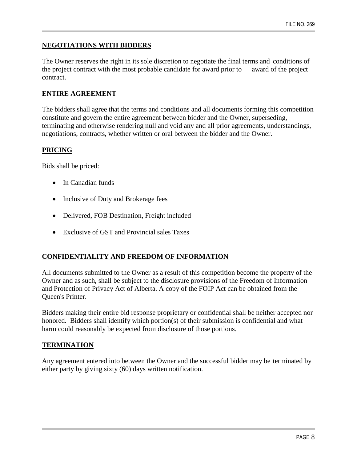#### **NEGOTIATIONS WITH BIDDERS**

The Owner reserves the right in its sole discretion to negotiate the final terms and conditions of the project contract with the most probable candidate for award prior to award of the project contract.

#### **ENTIRE AGREEMENT**

The bidders shall agree that the terms and conditions and all documents forming this competition constitute and govern the entire agreement between bidder and the Owner, superseding, terminating and otherwise rendering null and void any and all prior agreements, understandings, negotiations, contracts, whether written or oral between the bidder and the Owner.

#### **PRICING**

Bids shall be priced:

- In Canadian funds
- Inclusive of Duty and Brokerage fees
- Delivered, FOB Destination, Freight included
- Exclusive of GST and Provincial sales Taxes

#### **CONFIDENTIALITY AND FREEDOM OF INFORMATION**

All documents submitted to the Owner as a result of this competition become the property of the Owner and as such, shall be subject to the disclosure provisions of the Freedom of Information and Protection of Privacy Act of Alberta. A copy of the FOIP Act can be obtained from the Queen's Printer.

Bidders making their entire bid response proprietary or confidential shall be neither accepted nor honored. Bidders shall identify which portion(s) of their submission is confidential and what harm could reasonably be expected from disclosure of those portions.

#### **TERMINATION**

Any agreement entered into between the Owner and the successful bidder may be terminated by either party by giving sixty (60) days written notification.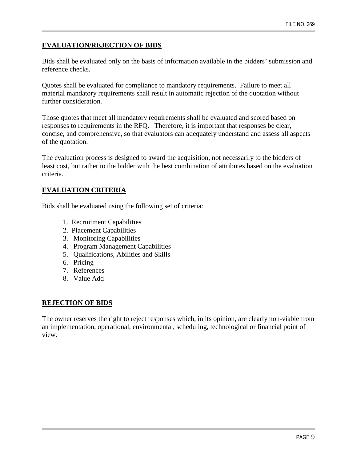#### **EVALUATION/REJECTION OF BIDS**

Bids shall be evaluated only on the basis of information available in the bidders' submission and reference checks.

Quotes shall be evaluated for compliance to mandatory requirements. Failure to meet all material mandatory requirements shall result in automatic rejection of the quotation without further consideration.

Those quotes that meet all mandatory requirements shall be evaluated and scored based on responses to requirements in the RFQ. Therefore, it is important that responses be clear, concise, and comprehensive, so that evaluators can adequately understand and assess all aspects of the quotation.

The evaluation process is designed to award the acquisition, not necessarily to the bidders of least cost, but rather to the bidder with the best combination of attributes based on the evaluation criteria.

#### **EVALUATION CRITERIA**

Bids shall be evaluated using the following set of criteria:

- 1. Recruitment Capabilities
- 2. Placement Capabilities
- 3. Monitoring Capabilities
- 4. Program Management Capabilities
- 5. Qualifications, Abilities and Skills
- 6. Pricing
- 7. References
- 8. Value Add

#### **REJECTION OF BIDS**

The owner reserves the right to reject responses which, in its opinion, are clearly non-viable from an implementation, operational, environmental, scheduling, technological or financial point of view.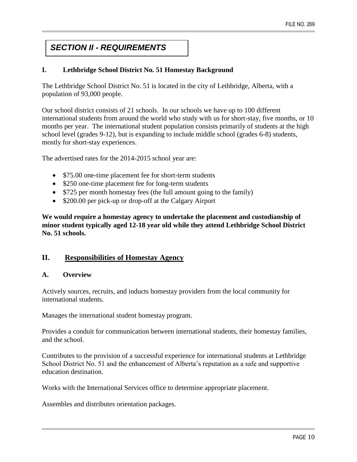# *SECTION II - REQUIREMENTS*

#### **I. Lethbridge School District No. 51 Homestay Background**

The Lethbridge School District No. 51 is located in the city of Lethbridge, Alberta, with a population of 93,000 people.

Our school district consists of 21 schools. In our schools we have up to 100 different international students from around the world who study with us for short-stay, five months, or 10 months per year. The international student population consists primarily of students at the high school level (grades 9-12), but is expanding to include middle school (grades 6-8) students, mostly for short-stay experiences.

The advertised rates for the 2014-2015 school year are:

- \$75.00 one-time placement fee for short-term students
- \$250 one-time placement fee for long-term students
- \$725 per month homestay fees (the full amount going to the family)
- \$200.00 per pick-up or drop-off at the Calgary Airport

**We would require a homestay agency to undertake the placement and custodianship of minor student typically aged 12-18 year old while they attend Lethbridge School District No. 51 schools.**

#### **II. Responsibilities of Homestay Agency**

#### **A. Overview**

Actively sources, recruits, and inducts homestay providers from the local community for international students.

Manages the international student homestay program.

Provides a conduit for communication between international students, their homestay families, and the school.

Contributes to the provision of a successful experience for international students at Lethbridge School District No. 51 and the enhancement of Alberta's reputation as a safe and supportive education destination.

Works with the International Services office to determine appropriate placement.

Assembles and distributes orientation packages.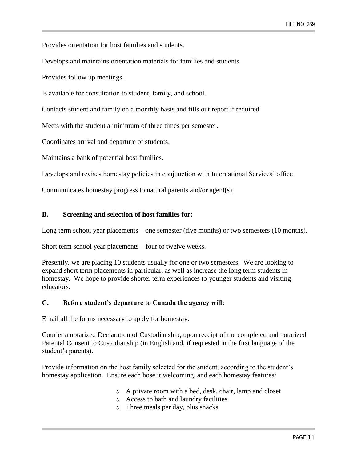Provides orientation for host families and students.

Develops and maintains orientation materials for families and students.

Provides follow up meetings.

Is available for consultation to student, family, and school.

Contacts student and family on a monthly basis and fills out report if required.

Meets with the student a minimum of three times per semester.

Coordinates arrival and departure of students.

Maintains a bank of potential host families.

Develops and revises homestay policies in conjunction with International Services' office.

Communicates homestay progress to natural parents and/or agent(s).

#### **B. Screening and selection of host families for:**

Long term school year placements – one semester (five months) or two semesters (10 months).

Short term school year placements – four to twelve weeks.

Presently, we are placing 10 students usually for one or two semesters. We are looking to expand short term placements in particular, as well as increase the long term students in homestay. We hope to provide shorter term experiences to younger students and visiting educators.

#### **C. Before student's departure to Canada the agency will:**

Email all the forms necessary to apply for homestay.

Courier a notarized Declaration of Custodianship, upon receipt of the completed and notarized Parental Consent to Custodianship (in English and, if requested in the first language of the student's parents).

Provide information on the host family selected for the student, according to the student's homestay application. Ensure each hose it welcoming, and each homestay features:

- o A private room with a bed, desk, chair, lamp and closet
- o Access to bath and laundry facilities
- o Three meals per day, plus snacks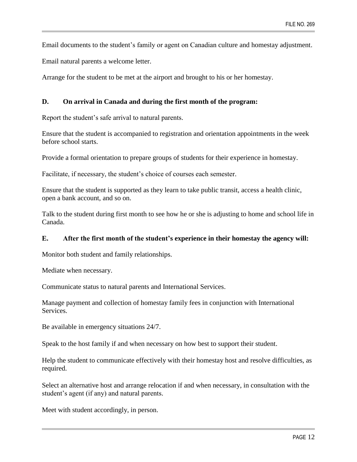Email documents to the student's family or agent on Canadian culture and homestay adjustment.

Email natural parents a welcome letter.

Arrange for the student to be met at the airport and brought to his or her homestay.

#### **D. On arrival in Canada and during the first month of the program:**

Report the student's safe arrival to natural parents.

Ensure that the student is accompanied to registration and orientation appointments in the week before school starts.

Provide a formal orientation to prepare groups of students for their experience in homestay.

Facilitate, if necessary, the student's choice of courses each semester.

Ensure that the student is supported as they learn to take public transit, access a health clinic, open a bank account, and so on.

Talk to the student during first month to see how he or she is adjusting to home and school life in Canada.

#### **E. After the first month of the student's experience in their homestay the agency will:**

Monitor both student and family relationships.

Mediate when necessary.

Communicate status to natural parents and International Services.

Manage payment and collection of homestay family fees in conjunction with International Services.

Be available in emergency situations 24/7.

Speak to the host family if and when necessary on how best to support their student.

Help the student to communicate effectively with their homestay host and resolve difficulties, as required.

Select an alternative host and arrange relocation if and when necessary, in consultation with the student's agent (if any) and natural parents.

Meet with student accordingly, in person.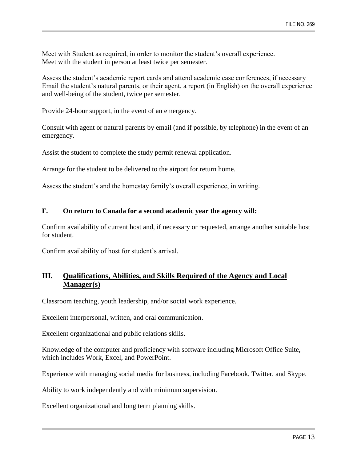Meet with Student as required, in order to monitor the student's overall experience. Meet with the student in person at least twice per semester.

Assess the student's academic report cards and attend academic case conferences, if necessary Email the student's natural parents, or their agent, a report (in English) on the overall experience and well-being of the student, twice per semester.

Provide 24-hour support, in the event of an emergency.

Consult with agent or natural parents by email (and if possible, by telephone) in the event of an emergency.

Assist the student to complete the study permit renewal application.

Arrange for the student to be delivered to the airport for return home.

Assess the student's and the homestay family's overall experience, in writing.

#### **F. On return to Canada for a second academic year the agency will:**

Confirm availability of current host and, if necessary or requested, arrange another suitable host for student.

Confirm availability of host for student's arrival.

### **III. Qualifications, Abilities, and Skills Required of the Agency and Local Manager(s)**

Classroom teaching, youth leadership, and/or social work experience.

Excellent interpersonal, written, and oral communication.

Excellent organizational and public relations skills.

Knowledge of the computer and proficiency with software including Microsoft Office Suite, which includes Work, Excel, and PowerPoint.

Experience with managing social media for business, including Facebook, Twitter, and Skype.

Ability to work independently and with minimum supervision.

Excellent organizational and long term planning skills.